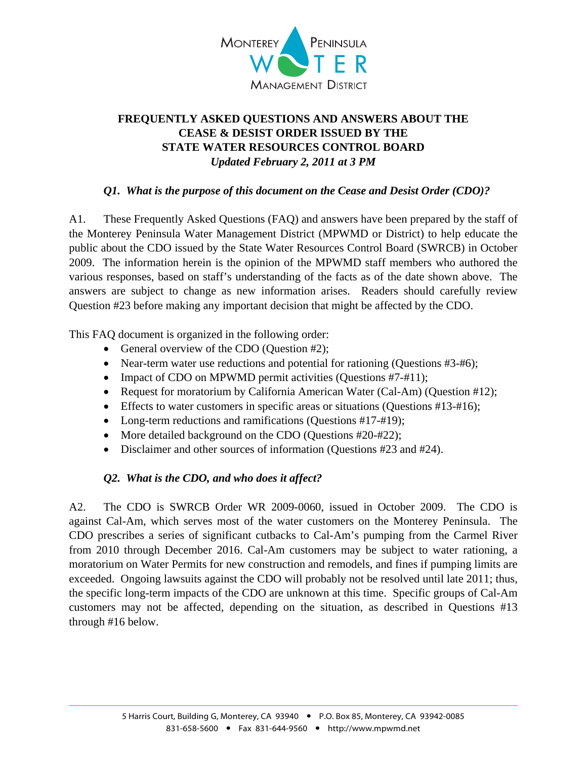

# **FREQUENTLY ASKED QUESTIONS AND ANSWERS ABOUT THE CEASE & DESIST ORDER ISSUED BY THE STATE WATER RESOURCES CONTROL BOARD**  *Updated February 2, 2011 at 3 PM*

## *Q1. What is the purpose of this document on the Cease and Desist Order (CDO)?*

A1. These Frequently Asked Questions (FAQ) and answers have been prepared by the staff of the Monterey Peninsula Water Management District (MPWMD or District) to help educate the public about the CDO issued by the State Water Resources Control Board (SWRCB) in October 2009. The information herein is the opinion of the MPWMD staff members who authored the various responses, based on staff's understanding of the facts as of the date shown above. The answers are subject to change as new information arises. Readers should carefully review Question #23 before making any important decision that might be affected by the CDO.

This FAQ document is organized in the following order:

- General overview of the CDO (Question #2);
- Near-term water use reductions and potential for rationing (Questions #3-#6);
- Impact of CDO on MPWMD permit activities (Questions #7-#11);
- Request for moratorium by California American Water (Cal-Am) (Question #12);
- Effects to water customers in specific areas or situations (Questions  $#13-#16$ );
- Long-term reductions and ramifications (Ouestions #17-#19);
- More detailed background on the CDO (Questions #20-#22);
- Disclaimer and other sources of information (Questions #23 and #24).

# *Q2. What is the CDO, and who does it affect?*

A2. The CDO is SWRCB Order WR 2009-0060, issued in October 2009. The CDO is against Cal-Am, which serves most of the water customers on the Monterey Peninsula. The CDO prescribes a series of significant cutbacks to Cal-Am's pumping from the Carmel River from 2010 through December 2016. Cal-Am customers may be subject to water rationing, a moratorium on Water Permits for new construction and remodels, and fines if pumping limits are exceeded. Ongoing lawsuits against the CDO will probably not be resolved until late 2011; thus, the specific long-term impacts of the CDO are unknown at this time. Specific groups of Cal-Am customers may not be affected, depending on the situation, as described in Questions #13 through #16 below.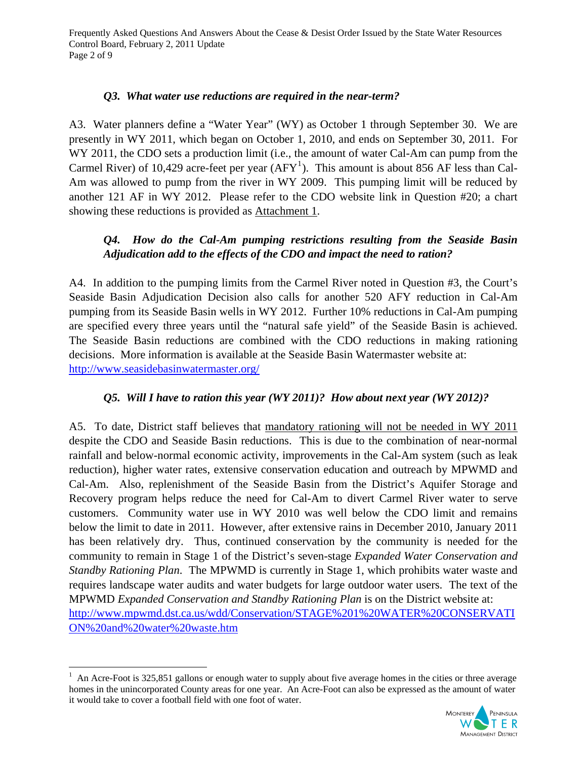Frequently Asked Questions And Answers About the Cease & Desist Order Issued by the State Water Resources Control Board, February 2, 2011 Update Page 2 of 9

#### *Q3. What water use reductions are required in the near-term?*

A3. Water planners define a "Water Year" (WY) as October 1 through September 30. We are presently in WY 2011, which began on October 1, 2010, and ends on September 30, 2011. For WY 2011, the CDO sets a production limit (i.e., the amount of water Cal-Am can pump from the Carmel River) of [1](#page-1-0)0,429 acre-feet per year  $(AFY^1)$ . This amount is about 856 AF less than Cal-Am was allowed to pump from the river in WY 2009. This pumping limit will be reduced by another 121 AF in WY 2012. Please refer to the CDO website link in Question #20; a chart showing these reductions is provided as Attachment 1.

### *Q4. How do the Cal-Am pumping restrictions resulting from the Seaside Basin Adjudication add to the effects of the CDO and impact the need to ration?*

A4. In addition to the pumping limits from the Carmel River noted in Question #3, the Court's Seaside Basin Adjudication Decision also calls for another 520 AFY reduction in Cal-Am pumping from its Seaside Basin wells in WY 2012. Further 10% reductions in Cal-Am pumping are specified every three years until the "natural safe yield" of the Seaside Basin is achieved. The Seaside Basin reductions are combined with the CDO reductions in making rationing decisions. More information is available at the Seaside Basin Watermaster website at: <http://www.seasidebasinwatermaster.org/>

#### *Q5. Will I have to ration this year (WY 2011)? How about next year (WY 2012)?*

A5. To date, District staff believes that mandatory rationing will not be needed in WY 2011 despite the CDO and Seaside Basin reductions. This is due to the combination of near-normal rainfall and below-normal economic activity, improvements in the Cal-Am system (such as leak reduction), higher water rates, extensive conservation education and outreach by MPWMD and Cal-Am. Also, replenishment of the Seaside Basin from the District's Aquifer Storage and Recovery program helps reduce the need for Cal-Am to divert Carmel River water to serve customers. Community water use in WY 2010 was well below the CDO limit and remains below the limit to date in 2011. However, after extensive rains in December 2010, January 2011 has been relatively dry. Thus, continued conservation by the community is needed for the community to remain in Stage 1 of the District's seven-stage *Expanded Water Conservation and Standby Rationing Plan*. The MPWMD is currently in Stage 1, which prohibits water waste and requires landscape water audits and water budgets for large outdoor water users. The text of the MPWMD *Expanded Conservation and Standby Rationing Plan* is on the District website at: [http://www.mpwmd.dst.ca.us/wdd/Conservation/STAGE%201%20WATER%20CONSERVATI](http://www.mpwmd.dst.ca.us/wdd/Conservation/STAGE%201%20WATER%20CONSERVATION%20and%20water%20waste.htm) [ON%20and%20water%20waste.htm](http://www.mpwmd.dst.ca.us/wdd/Conservation/STAGE%201%20WATER%20CONSERVATION%20and%20water%20waste.htm)

 $\overline{a}$ 



<span id="page-1-0"></span><sup>1</sup> An Acre-Foot is 325,851 gallons or enough water to supply about five average homes in the cities or three average homes in the unincorporated County areas for one year. An Acre-Foot can also be expressed as the amount of water it would take to cover a football field with one foot of water.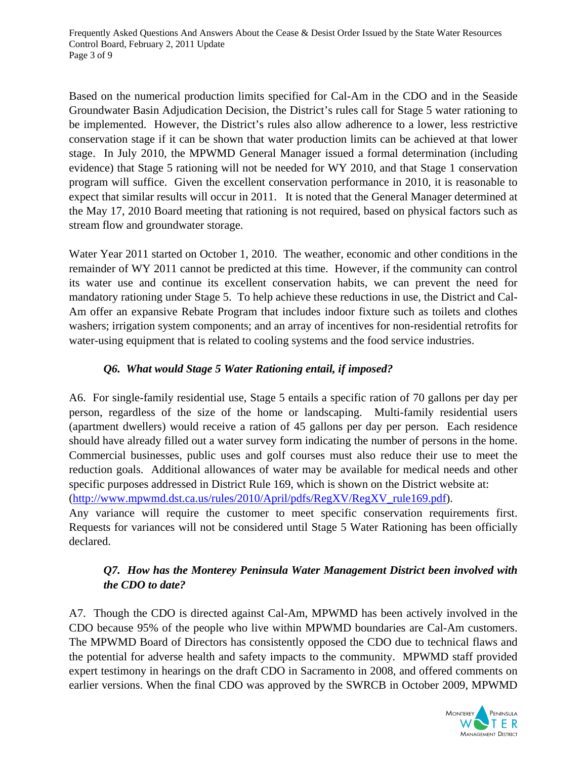Frequently Asked Questions And Answers About the Cease & Desist Order Issued by the State Water Resources Control Board, February 2, 2011 Update Page 3 of 9

Based on the numerical production limits specified for Cal-Am in the CDO and in the Seaside Groundwater Basin Adjudication Decision, the District's rules call for Stage 5 water rationing to be implemented. However, the District's rules also allow adherence to a lower, less restrictive conservation stage if it can be shown that water production limits can be achieved at that lower stage. In July 2010, the MPWMD General Manager issued a formal determination (including evidence) that Stage 5 rationing will not be needed for WY 2010, and that Stage 1 conservation program will suffice. Given the excellent conservation performance in 2010, it is reasonable to expect that similar results will occur in 2011. It is noted that the General Manager determined at the May 17, 2010 Board meeting that rationing is not required, based on physical factors such as stream flow and groundwater storage.

Water Year 2011 started on October 1, 2010. The weather, economic and other conditions in the remainder of WY 2011 cannot be predicted at this time. However, if the community can control its water use and continue its excellent conservation habits, we can prevent the need for mandatory rationing under Stage 5. To help achieve these reductions in use, the District and Cal-Am offer an expansive Rebate Program that includes indoor fixture such as toilets and clothes washers; irrigation system components; and an array of incentives for non-residential retrofits for water-using equipment that is related to cooling systems and the food service industries.

### *Q6. What would Stage 5 Water Rationing entail, if imposed?*

A6. For single-family residential use, Stage 5 entails a specific ration of 70 gallons per day per person, regardless of the size of the home or landscaping. Multi-family residential users (apartment dwellers) would receive a ration of 45 gallons per day per person. Each residence should have already filled out a water survey form indicating the number of persons in the home. Commercial businesses, public uses and golf courses must also reduce their use to meet the reduction goals. Additional allowances of water may be available for medical needs and other specific purposes addressed in District Rule 169, which is shown on the District website at: ([http://www.mpwmd.dst.ca.us/rules/2010/April/pdfs/RegXV/RegXV\\_rule169.pdf\)](http://www.mpwmd.dst.ca.us/rules/2010/April/pdfs/RegXV/RegXV_rule169.pdf).

Any variance will require the customer to meet specific conservation requirements first. Requests for variances will not be considered until Stage 5 Water Rationing has been officially declared.

## *Q7. How has the Monterey Peninsula Water Management District been involved with the CDO to date?*

A7. Though the CDO is directed against Cal-Am, MPWMD has been actively involved in the CDO because 95% of the people who live within MPWMD boundaries are Cal-Am customers. The MPWMD Board of Directors has consistently opposed the CDO due to technical flaws and the potential for adverse health and safety impacts to the community. MPWMD staff provided expert testimony in hearings on the draft CDO in Sacramento in 2008, and offered comments on earlier versions. When the final CDO was approved by the SWRCB in October 2009, MPWMD

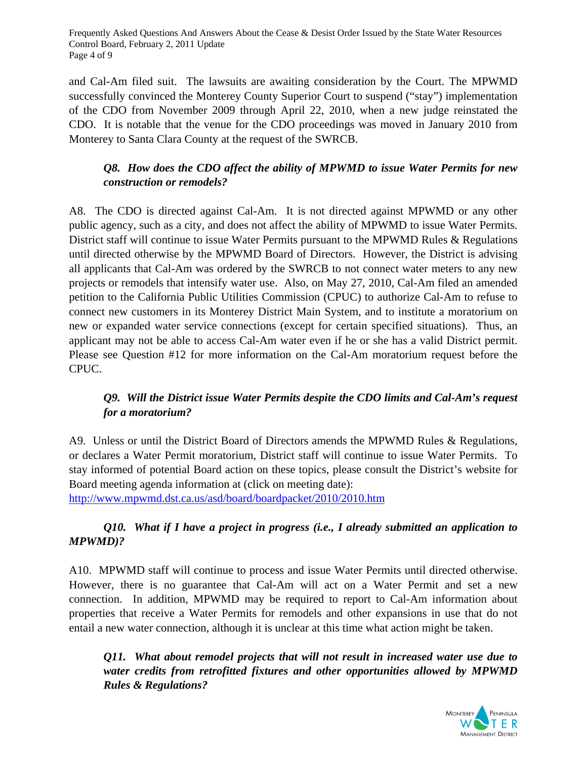Frequently Asked Questions And Answers About the Cease & Desist Order Issued by the State Water Resources Control Board, February 2, 2011 Update Page 4 of 9

and Cal-Am filed suit. The lawsuits are awaiting consideration by the Court. The MPWMD successfully convinced the Monterey County Superior Court to suspend ("stay") implementation of the CDO from November 2009 through April 22, 2010, when a new judge reinstated the CDO. It is notable that the venue for the CDO proceedings was moved in January 2010 from Monterey to Santa Clara County at the request of the SWRCB.

# *Q8. How does the CDO affect the ability of MPWMD to issue Water Permits for new construction or remodels?*

A8. The CDO is directed against Cal-Am. It is not directed against MPWMD or any other public agency, such as a city, and does not affect the ability of MPWMD to issue Water Permits. District staff will continue to issue Water Permits pursuant to the MPWMD Rules & Regulations until directed otherwise by the MPWMD Board of Directors. However, the District is advising all applicants that Cal-Am was ordered by the SWRCB to not connect water meters to any new projects or remodels that intensify water use. Also, on May 27, 2010, Cal-Am filed an amended petition to the California Public Utilities Commission (CPUC) to authorize Cal-Am to refuse to connect new customers in its Monterey District Main System, and to institute a moratorium on new or expanded water service connections (except for certain specified situations). Thus, an applicant may not be able to access Cal-Am water even if he or she has a valid District permit. Please see Question #12 for more information on the Cal-Am moratorium request before the CPUC.

# *Q9. Will the District issue Water Permits despite the CDO limits and Cal-Am's request for a moratorium?*

A9. Unless or until the District Board of Directors amends the MPWMD Rules & Regulations, or declares a Water Permit moratorium, District staff will continue to issue Water Permits. To stay informed of potential Board action on these topics, please consult the District's website for Board meeting agenda information at (click on meeting date):

<http://www.mpwmd.dst.ca.us/asd/board/boardpacket/2010/2010.htm>

# *Q10. What if I have a project in progress (i.e., I already submitted an application to MPWMD)?*

A10. MPWMD staff will continue to process and issue Water Permits until directed otherwise. However, there is no guarantee that Cal-Am will act on a Water Permit and set a new connection. In addition, MPWMD may be required to report to Cal-Am information about properties that receive a Water Permits for remodels and other expansions in use that do not entail a new water connection, although it is unclear at this time what action might be taken.

*Q11. What about remodel projects that will not result in increased water use due to water credits from retrofitted fixtures and other opportunities allowed by MPWMD Rules & Regulations?* 

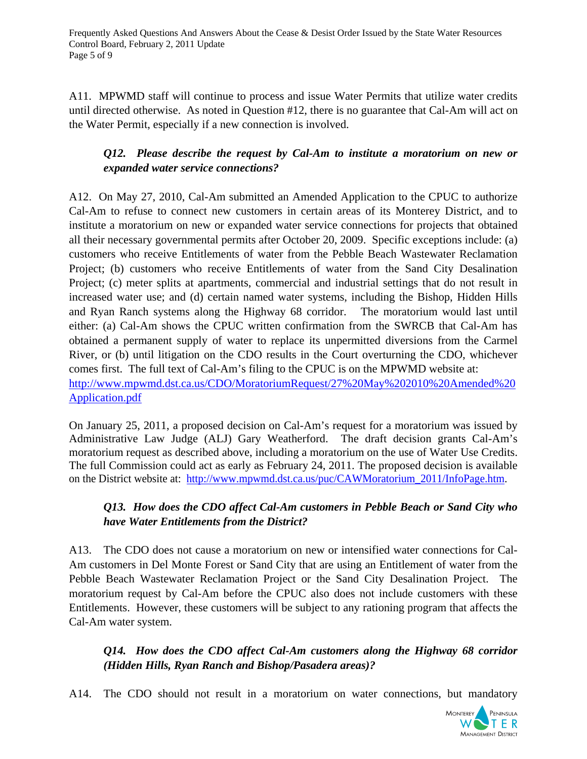A11. MPWMD staff will continue to process and issue Water Permits that utilize water credits until directed otherwise. As noted in Question #12, there is no guarantee that Cal-Am will act on the Water Permit, especially if a new connection is involved.

# *Q12. Please describe the request by Cal-Am to institute a moratorium on new or expanded water service connections?*

A12. On May 27, 2010, Cal-Am submitted an Amended Application to the CPUC to authorize Cal-Am to refuse to connect new customers in certain areas of its Monterey District, and to institute a moratorium on new or expanded water service connections for projects that obtained all their necessary governmental permits after October 20, 2009. Specific exceptions include: (a) customers who receive Entitlements of water from the Pebble Beach Wastewater Reclamation Project; (b) customers who receive Entitlements of water from the Sand City Desalination Project; (c) meter splits at apartments, commercial and industrial settings that do not result in increased water use; and (d) certain named water systems, including the Bishop, Hidden Hills and Ryan Ranch systems along the Highway 68 corridor. The moratorium would last until either: (a) Cal-Am shows the CPUC written confirmation from the SWRCB that Cal-Am has obtained a permanent supply of water to replace its unpermitted diversions from the Carmel River, or (b) until litigation on the CDO results in the Court overturning the CDO, whichever comes first. The full text of Cal-Am's filing to the CPUC is on the MPWMD website at: [http://www.mpwmd.dst.ca.us/CDO/MoratoriumRequest/27%20May%202010%20Amended%20](http://www.mpwmd.dst.ca.us/CDO/MoratoriumRequest/27%20May%202010%20Amended%20Application.pdf) [Application.pdf](http://www.mpwmd.dst.ca.us/CDO/MoratoriumRequest/27%20May%202010%20Amended%20Application.pdf)

On January 25, 2011, a proposed decision on Cal-Am's request for a moratorium was issued by Administrative Law Judge (ALJ) Gary Weatherford. The draft decision grants Cal-Am's moratorium request as described above, including a moratorium on the use of Water Use Credits. The full Commission could act as early as February 24, 2011. The proposed decision is available on the District website at: [http://www.mpwmd.dst.ca.us/puc/CAWMoratorium\\_2011/InfoPage.htm](http://www.mpwmd.dst.ca.us/puc/CAWMoratorium_2011/InfoPage.htm).

## *Q13. How does the CDO affect Cal-Am customers in Pebble Beach or Sand City who have Water Entitlements from the District?*

A13. The CDO does not cause a moratorium on new or intensified water connections for Cal-Am customers in Del Monte Forest or Sand City that are using an Entitlement of water from the Pebble Beach Wastewater Reclamation Project or the Sand City Desalination Project. The moratorium request by Cal-Am before the CPUC also does not include customers with these Entitlements. However, these customers will be subject to any rationing program that affects the Cal-Am water system.

## *Q14. How does the CDO affect Cal-Am customers along the Highway 68 corridor (Hidden Hills, Ryan Ranch and Bishop/Pasadera areas)?*

A14. The CDO should not result in a moratorium on water connections, but mandatory

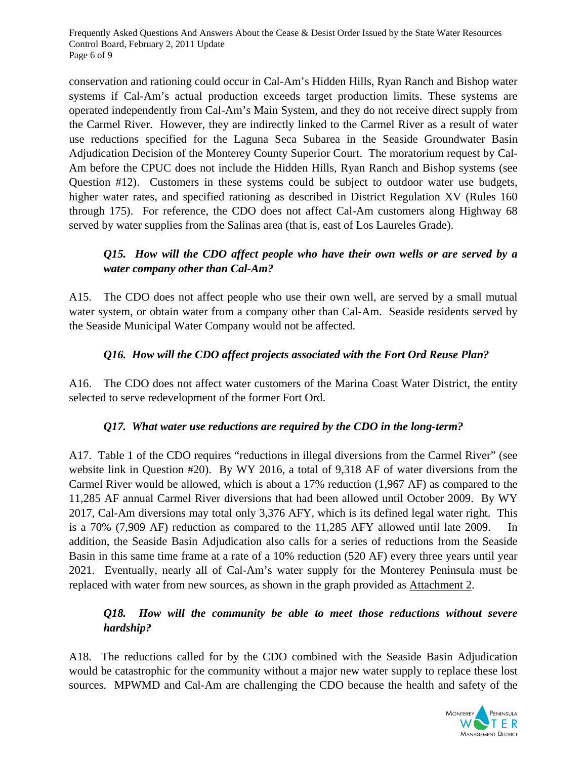Frequently Asked Questions And Answers About the Cease & Desist Order Issued by the State Water Resources Control Board, February 2, 2011 Update Page 6 of 9

conservation and rationing could occur in Cal-Am's Hidden Hills, Ryan Ranch and Bishop water systems if Cal-Am's actual production exceeds target production limits. These systems are operated independently from Cal-Am's Main System, and they do not receive direct supply from the Carmel River. However, they are indirectly linked to the Carmel River as a result of water use reductions specified for the Laguna Seca Subarea in the Seaside Groundwater Basin Adjudication Decision of the Monterey County Superior Court. The moratorium request by Cal-Am before the CPUC does not include the Hidden Hills, Ryan Ranch and Bishop systems (see Question #12). Customers in these systems could be subject to outdoor water use budgets, higher water rates, and specified rationing as described in District Regulation XV (Rules 160 through 175). For reference, the CDO does not affect Cal-Am customers along Highway 68 served by water supplies from the Salinas area (that is, east of Los Laureles Grade).

### *Q15. How will the CDO affect people who have their own wells or are served by a water company other than Cal-Am?*

A15. The CDO does not affect people who use their own well, are served by a small mutual water system, or obtain water from a company other than Cal-Am. Seaside residents served by the Seaside Municipal Water Company would not be affected.

### *Q16. How will the CDO affect projects associated with the Fort Ord Reuse Plan?*

A16. The CDO does not affect water customers of the Marina Coast Water District, the entity selected to serve redevelopment of the former Fort Ord.

#### *Q17. What water use reductions are required by the CDO in the long-term?*

A17. Table 1 of the CDO requires "reductions in illegal diversions from the Carmel River" (see website link in Question #20). By WY 2016, a total of 9,318 AF of water diversions from the Carmel River would be allowed, which is about a 17% reduction (1,967 AF) as compared to the 11,285 AF annual Carmel River diversions that had been allowed until October 2009. By WY 2017, Cal-Am diversions may total only 3,376 AFY, which is its defined legal water right. This is a 70% (7,909 AF) reduction as compared to the 11,285 AFY allowed until late 2009. In addition, the Seaside Basin Adjudication also calls for a series of reductions from the Seaside Basin in this same time frame at a rate of a 10% reduction (520 AF) every three years until year 2021. Eventually, nearly all of Cal-Am's water supply for the Monterey Peninsula must be replaced with water from new sources, as shown in the graph provided as Attachment 2.

### *Q18. How will the community be able to meet those reductions without severe hardship?*

A18. The reductions called for by the CDO combined with the Seaside Basin Adjudication would be catastrophic for the community without a major new water supply to replace these lost sources. MPWMD and Cal-Am are challenging the CDO because the health and safety of the

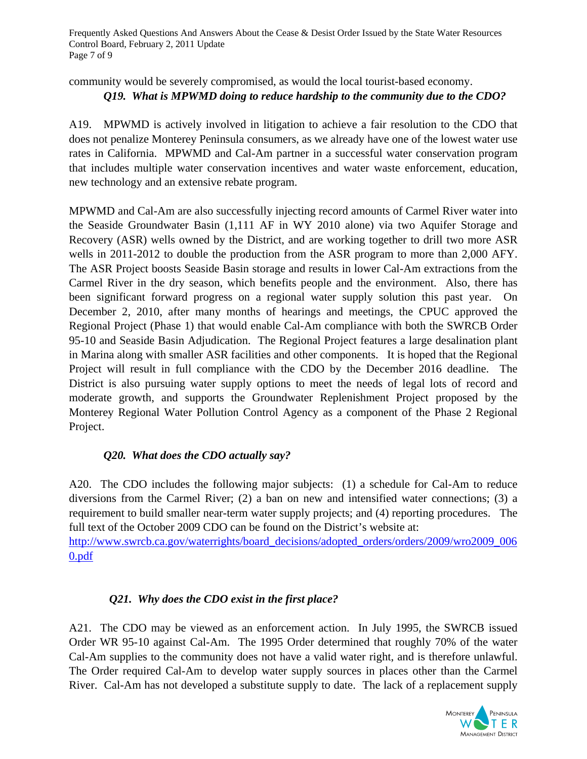Frequently Asked Questions And Answers About the Cease & Desist Order Issued by the State Water Resources Control Board, February 2, 2011 Update Page 7 of 9

community would be severely compromised, as would the local tourist-based economy.

## *Q19. What is MPWMD doing to reduce hardship to the community due to the CDO?*

A19. MPWMD is actively involved in litigation to achieve a fair resolution to the CDO that does not penalize Monterey Peninsula consumers, as we already have one of the lowest water use rates in California. MPWMD and Cal-Am partner in a successful water conservation program that includes multiple water conservation incentives and water waste enforcement, education, new technology and an extensive rebate program.

MPWMD and Cal-Am are also successfully injecting record amounts of Carmel River water into the Seaside Groundwater Basin (1,111 AF in WY 2010 alone) via two Aquifer Storage and Recovery (ASR) wells owned by the District, and are working together to drill two more ASR wells in 2011-2012 to double the production from the ASR program to more than 2,000 AFY. The ASR Project boosts Seaside Basin storage and results in lower Cal-Am extractions from the Carmel River in the dry season, which benefits people and the environment. Also, there has been significant forward progress on a regional water supply solution this past year. On December 2, 2010, after many months of hearings and meetings, the CPUC approved the Regional Project (Phase 1) that would enable Cal-Am compliance with both the SWRCB Order 95-10 and Seaside Basin Adjudication. The Regional Project features a large desalination plant in Marina along with smaller ASR facilities and other components. It is hoped that the Regional Project will result in full compliance with the CDO by the December 2016 deadline. The District is also pursuing water supply options to meet the needs of legal lots of record and moderate growth, and supports the Groundwater Replenishment Project proposed by the Monterey Regional Water Pollution Control Agency as a component of the Phase 2 Regional Project.

## *Q20. What does the CDO actually say?*

A20. The CDO includes the following major subjects: (1) a schedule for Cal-Am to reduce diversions from the Carmel River; (2) a ban on new and intensified water connections; (3) a requirement to build smaller near-term water supply projects; and (4) reporting procedures. The full text of the October 2009 CDO can be found on the District's website at:

[http://www.swrcb.ca.gov/waterrights/board\\_decisions/adopted\\_orders/orders/2009/wro2009\\_006](http://www.swrcb.ca.gov/waterrights/board_decisions/adopted_orders/orders/2009/wro2009_0060.pdf) [0.pdf](http://www.swrcb.ca.gov/waterrights/board_decisions/adopted_orders/orders/2009/wro2009_0060.pdf) 

#### *Q21. Why does the CDO exist in the first place?*

A21. The CDO may be viewed as an enforcement action. In July 1995, the SWRCB issued Order WR 95-10 against Cal-Am. The 1995 Order determined that roughly 70% of the water Cal-Am supplies to the community does not have a valid water right, and is therefore unlawful. The Order required Cal-Am to develop water supply sources in places other than the Carmel River. Cal-Am has not developed a substitute supply to date. The lack of a replacement supply

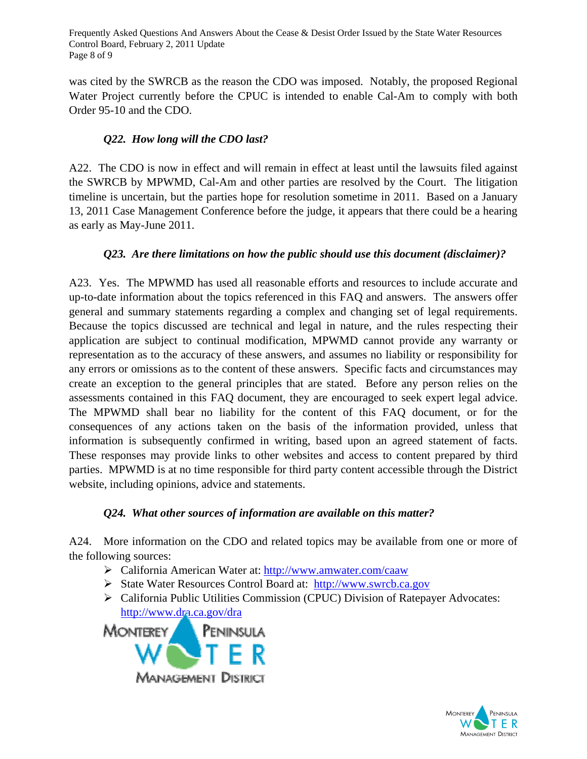Frequently Asked Questions And Answers About the Cease & Desist Order Issued by the State Water Resources Control Board, February 2, 2011 Update Page 8 of 9

was cited by the SWRCB as the reason the CDO was imposed. Notably, the proposed Regional Water Project currently before the CPUC is intended to enable Cal-Am to comply with both Order 95-10 and the CDO.

### *Q22. How long will the CDO last?*

A22. The CDO is now in effect and will remain in effect at least until the lawsuits filed against the SWRCB by MPWMD, Cal-Am and other parties are resolved by the Court. The litigation timeline is uncertain, but the parties hope for resolution sometime in 2011. Based on a January 13, 2011 Case Management Conference before the judge, it appears that there could be a hearing as early as May-June 2011.

#### *Q23. Are there limitations on how the public should use this document (disclaimer)?*

A23. Yes. The MPWMD has used all reasonable efforts and resources to include accurate and up-to-date information about the topics referenced in this FAQ and answers. The answers offer general and summary statements regarding a complex and changing set of legal requirements. Because the topics discussed are technical and legal in nature, and the rules respecting their application are subject to continual modification, MPWMD cannot provide any warranty or representation as to the accuracy of these answers, and assumes no liability or responsibility for any errors or omissions as to the content of these answers. Specific facts and circumstances may create an exception to the general principles that are stated. Before any person relies on the assessments contained in this FAQ document, they are encouraged to seek expert legal advice. The MPWMD shall bear no liability for the content of this FAQ document, or for the consequences of any actions taken on the basis of the information provided, unless that information is subsequently confirmed in writing, based upon an agreed statement of facts. These responses may provide links to other websites and access to content prepared by third parties. MPWMD is at no time responsible for third party content accessible through the District website, including opinions, advice and statements.

#### *Q24. What other sources of information are available on this matter?*

A24. More information on the CDO and related topics may be available from one or more of the following sources:

- California American Water at:<http://www.amwater.com/caaw>
- State Water Resources Control Board at: [http://www.swrcb.ca.gov](http://www.swrcb.ca.gov/)
- California Public Utilities Commission (CPUC) Division of Ratepayer Advocates: <http://www.dra.ca.gov/dra>

PENINSULA MONTEREY Management District